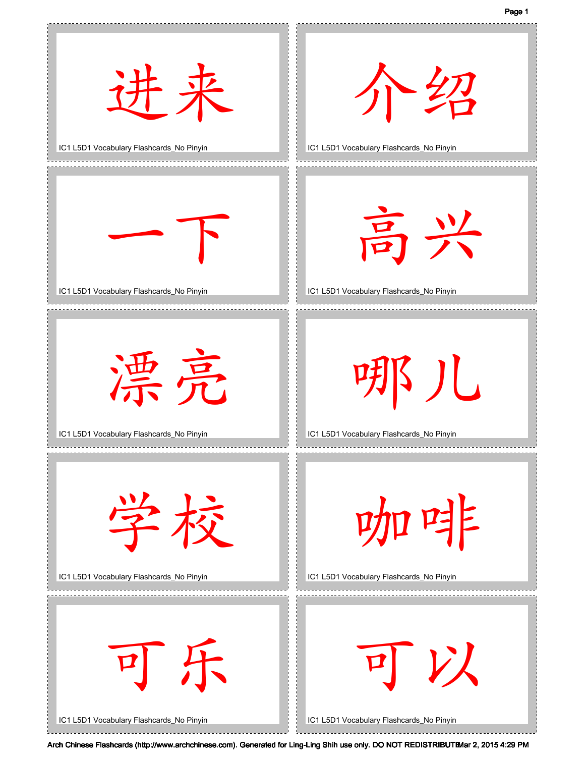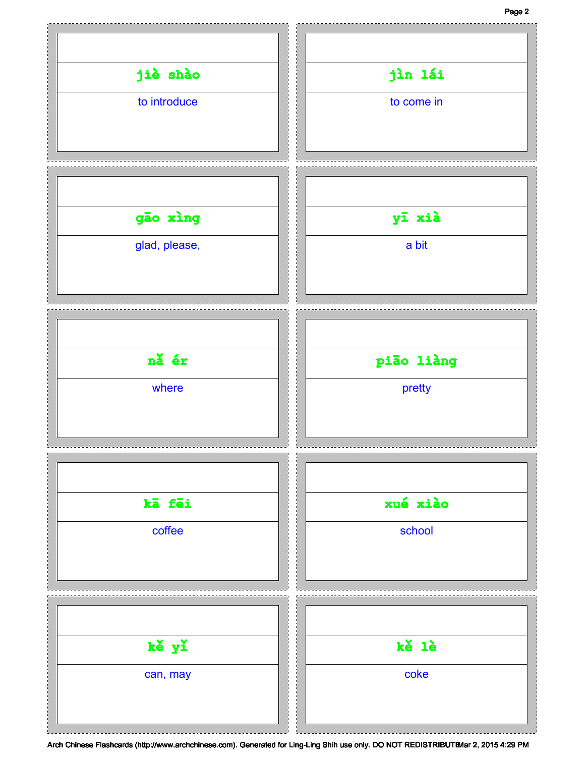## Page 2

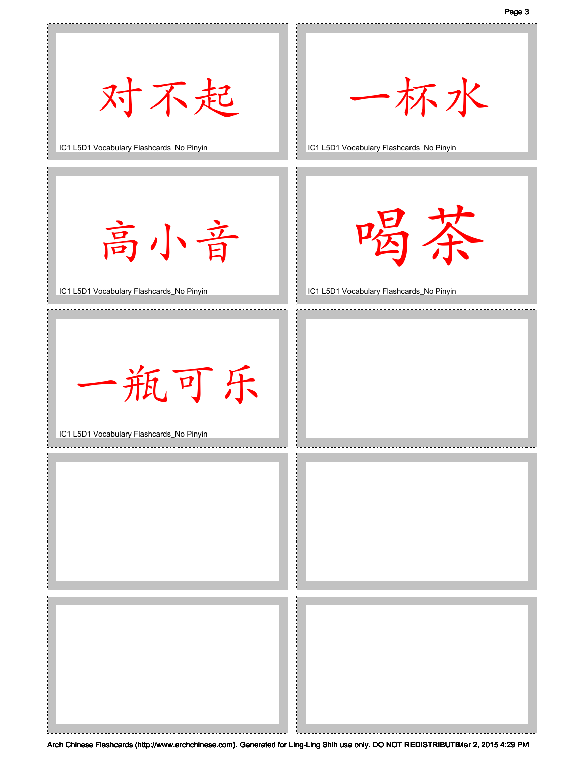